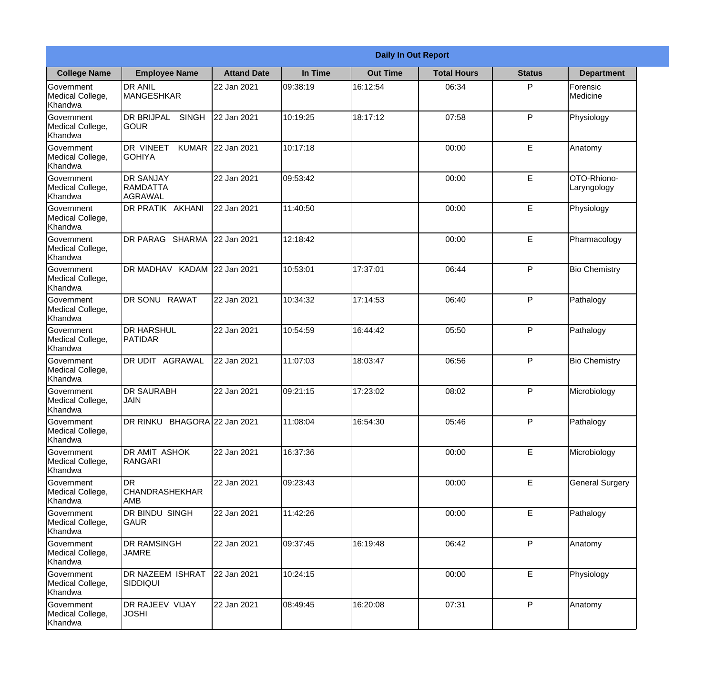|                                                  |                                                       |                    |          | <b>Daily In Out Report</b> |                    |               |                            |
|--------------------------------------------------|-------------------------------------------------------|--------------------|----------|----------------------------|--------------------|---------------|----------------------------|
| <b>College Name</b>                              | <b>Employee Name</b>                                  | <b>Attand Date</b> | In Time  | <b>Out Time</b>            | <b>Total Hours</b> | <b>Status</b> | <b>Department</b>          |
| Government<br>Medical College,<br>Khandwa        | <b>DR ANIL</b><br><b>MANGESHKAR</b>                   | 22 Jan 2021        | 09:38:19 | 16:12:54                   | 06:34              | P             | Forensic<br>Medicine       |
| Government<br>Medical College,<br>Khandwa        | <b>DR BRIJPAL</b><br><b>SINGH</b><br> GOUR            | 22 Jan 2021        | 10:19:25 | 18:17:12                   | 07:58              | P             | Physiology                 |
| <b>Government</b><br>Medical College,<br>Khandwa | <b>DR VINEET</b><br><b>KUMAR</b><br><b>I</b> GOHIYA   | 22 Jan 2021        | 10:17:18 |                            | 00:00              | E             | Anatomy                    |
| Government<br>Medical College,<br>Khandwa        | <b>DR SANJAY</b><br><b>RAMDATTA</b><br><b>AGRAWAL</b> | 22 Jan 2021        | 09:53:42 |                            | 00:00              | E             | OTO-Rhiono-<br>Laryngology |
| Government<br>Medical College,<br>Khandwa        | <b>DR PRATIK AKHANI</b>                               | 22 Jan 2021        | 11:40:50 |                            | 00:00              | E             | Physiology                 |
| Government<br>Medical College,<br>Khandwa        | DR PARAG SHARMA                                       | 22 Jan 2021        | 12:18:42 |                            | 00:00              | E             | Pharmacology               |
| Government<br>Medical College,<br>Khandwa        | DR MADHAV KADAM 22 Jan 2021                           |                    | 10:53:01 | 17:37:01                   | 06:44              | P             | <b>Bio Chemistry</b>       |
| Government<br>Medical College,<br>Khandwa        | DR SONU RAWAT                                         | 22 Jan 2021        | 10:34:32 | 17:14:53                   | 06:40              | P             | Pathalogy                  |
| Government<br>Medical College,<br>Khandwa        | <b>DR HARSHUL</b><br>PATIDAR                          | 22 Jan 2021        | 10:54:59 | 16:44:42                   | 05:50              | P             | Pathalogy                  |
| Government<br>Medical College,<br>Khandwa        | DR UDIT<br><b>AGRAWAL</b>                             | 22 Jan 2021        | 11:07:03 | 18:03:47                   | 06:56              | P             | <b>Bio Chemistry</b>       |
| Government<br>Medical College,<br>Khandwa        | <b>IDR SAURABH</b><br><b>JAIN</b>                     | 22 Jan 2021        | 09:21:15 | 17:23:02                   | 08:02              | $\mathsf{P}$  | Microbiology               |
| Government<br>Medical College,<br>Khandwa        | DR RINKU BHAGORA 22 Jan 2021                          |                    | 11:08:04 | 16:54:30                   | 05:46              | P             | Pathalogy                  |
| Government<br>Medical College,<br>Khandwa        | <b>DR AMIT ASHOK</b><br>RANGARI                       | 22 Jan 2021        | 16:37:36 |                            | 00:00              | E             | Microbiology               |
| Government<br>Medical College,<br>Khandwa        | <b>DR</b><br><b>CHANDRASHEKHAR</b><br><b>AMB</b>      | 22 Jan 2021        | 09:23:43 |                            | 00:00              | E             | <b>General Surgery</b>     |
| Government<br>Medical College,<br>Khandwa        | DR BINDU SINGH<br> GAUR                               | 22 Jan 2021        | 11:42:26 |                            | 00:00              | E             | Pathalogy                  |
| Government<br>Medical College,<br>Khandwa        | <b>DR RAMSINGH</b><br><b>JAMRE</b>                    | 22 Jan 2021        | 09:37:45 | 16:19:48                   | 06:42              | P             | Anatomy                    |
| Government<br>Medical College,<br>Khandwa        | <b>DR NAZEEM ISHRAT</b><br><b>SIDDIQUI</b>            | 22 Jan 2021        | 10:24:15 |                            | 00:00              | E             | Physiology                 |
| Government<br>Medical College,<br>Khandwa        | <b>DR RAJEEV VIJAY</b><br><b>JOSHI</b>                | 22 Jan 2021        | 08:49:45 | 16:20:08                   | 07:31              | P             | Anatomy                    |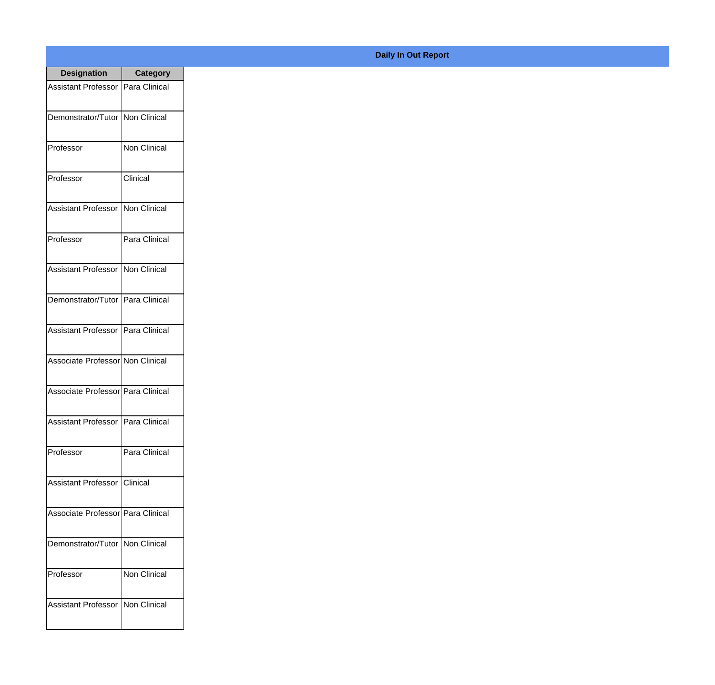| <b>Designation</b>                  | <b>Category</b>     |
|-------------------------------------|---------------------|
| <b>Assistant Professor</b>          | Para Clinical       |
| Demonstrator/Tutor   Non Clinical   |                     |
| Professor                           | Non Clinical        |
| Professor                           | Clinical            |
| <b>Assistant Professor</b>          | <b>Non Clinical</b> |
| Professor                           | Para Clinical       |
| <b>Assistant Professor</b>          | Non Clinical        |
| Demonstrator/Tutor   Para Clinical  |                     |
| <b>Assistant Professor</b>          | Para Clinical       |
| Associate Professor Non Clinical    |                     |
| Associate Professor   Para Clinical |                     |
| Assistant Professor   Para Clinical |                     |
| Professor                           | Para Clinical       |
| Assistant Professor   Clinical      |                     |
| Associate Professor   Para Clinical |                     |
| Demonstrator/Tutor                  | Non Clinical        |
| Professor                           | Non Clinical        |
| <b>Assistant Professor</b>          | Non Clinical        |

## **Daily In Out Report**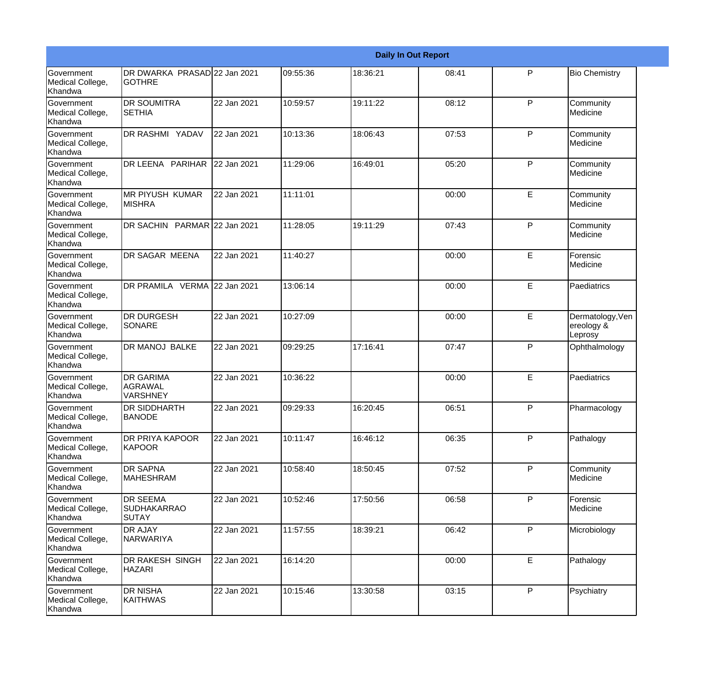|                                                  |                                                       |             |          |          | <b>Daily In Out Report</b> |              |                                           |
|--------------------------------------------------|-------------------------------------------------------|-------------|----------|----------|----------------------------|--------------|-------------------------------------------|
| <b>Government</b><br>Medical College,<br>Khandwa | DR DWARKA PRASAD 22 Jan 2021<br><b>GOTHRE</b>         |             | 09:55:36 | 18:36:21 | 08:41                      | P            | <b>Bio Chemistry</b>                      |
| Government<br>Medical College,<br>Khandwa        | <b>DR SOUMITRA</b><br><b>I</b> SETHIA                 | 22 Jan 2021 | 10:59:57 | 19:11:22 | 08:12                      | $\mathsf{P}$ | Community<br>Medicine                     |
| <b>Government</b><br>Medical College,<br>Khandwa | DR RASHMI YADAV                                       | 22 Jan 2021 | 10:13:36 | 18:06:43 | 07:53                      | $\mathsf{P}$ | Community<br>Medicine                     |
| <b>Government</b><br>Medical College,<br>Khandwa | DR LEENA PARIHAR                                      | 22 Jan 2021 | 11:29:06 | 16:49:01 | 05:20                      | $\mathsf{P}$ | Community<br>Medicine                     |
| Government<br>Medical College,<br>Khandwa        | <b>MR PIYUSH KUMAR</b><br><b>MISHRA</b>               | 22 Jan 2021 | 11:11:01 |          | 00:00                      | E            | Community<br>Medicine                     |
| Government<br>Medical College,<br>Khandwa        | DR SACHIN PARMAR 22 Jan 2021                          |             | 11:28:05 | 19:11:29 | 07:43                      | $\mathsf{P}$ | Community<br>Medicine                     |
| <b>Government</b><br>Medical College,<br>Khandwa | <b>DR SAGAR MEENA</b>                                 | 22 Jan 2021 | 11:40:27 |          | 00:00                      | E            | Forensic<br>Medicine                      |
| <b>Government</b><br>Medical College,<br>Khandwa | DR PRAMILA VERMA 22 Jan 2021                          |             | 13:06:14 |          | 00:00                      | E            | Paediatrics                               |
| Government<br>Medical College,<br>Khandwa        | <b>DR DURGESH</b><br>SONARE                           | 22 Jan 2021 | 10:27:09 |          | 00:00                      | E            | Dermatology, Ven<br>ereology &<br>Leprosy |
| Government<br>Medical College,<br>Khandwa        | <b>DR MANOJ BALKE</b>                                 | 22 Jan 2021 | 09:29:25 | 17:16:41 | 07:47                      | $\mathsf{P}$ | Ophthalmology                             |
| <b>Government</b><br>Medical College,<br>Khandwa | <b>DR GARIMA</b><br><b>AGRAWAL</b><br><b>VARSHNEY</b> | 22 Jan 2021 | 10:36:22 |          | 00:00                      | E            | Paediatrics                               |
| Government<br>Medical College,<br>Khandwa        | DR SIDDHARTH<br><b>BANODE</b>                         | 22 Jan 2021 | 09:29:33 | 16:20:45 | 06:51                      | P            | Pharmacology                              |
| Government<br>Medical College,<br>Khandwa        | DR PRIYA KAPOOR<br><b>KAPOOR</b>                      | 22 Jan 2021 | 10:11:47 | 16:46:12 | 06:35                      | P            | Pathalogy                                 |
| <b>Government</b><br>Medical College,<br>Khandwa | DR SAPNA<br><b>MAHESHRAM</b>                          | 22 Jan 2021 | 10:58:40 | 18:50:45 | 07:52                      | P            | Community<br>Medicine                     |
| Government<br>Medical College,<br>Khandwa        | <b>DR SEEMA</b><br><b>SUDHAKARRAO</b><br><b>SUTAY</b> | 22 Jan 2021 | 10:52:46 | 17:50:56 | 06:58                      | $\mathsf{P}$ | Forensic<br>Medicine                      |
| Government<br>Medical College,<br>Khandwa        | DR AJAY<br>NARWARIYA                                  | 22 Jan 2021 | 11:57:55 | 18:39:21 | 06:42                      | P            | Microbiology                              |
| Government<br>Medical College,<br>Khandwa        | DR RAKESH SINGH<br><b>HAZARI</b>                      | 22 Jan 2021 | 16:14:20 |          | 00:00                      | E            | Pathalogy                                 |
| Government<br>Medical College,<br>Khandwa        | <b>DR NISHA</b><br><b>KAITHWAS</b>                    | 22 Jan 2021 | 10:15:46 | 13:30:58 | 03:15                      | P            | Psychiatry                                |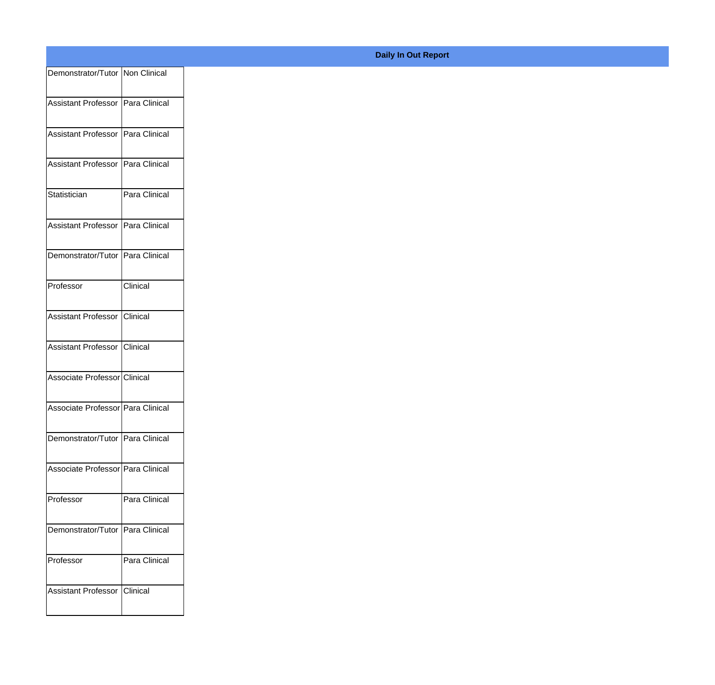|                                     |               | <b>Daily In Out Report</b> |
|-------------------------------------|---------------|----------------------------|
| Demonstrator/Tutor   Non Clinical   |               |                            |
| Assistant Professor Para Clinical   |               |                            |
| Assistant Professor Para Clinical   |               |                            |
| Assistant Professor   Para Clinical |               |                            |
| Statistician                        | Para Clinical |                            |
| Assistant Professor Para Clinical   |               |                            |
| Demonstrator/Tutor Para Clinical    |               |                            |
| Professor                           | Clinical      |                            |
| Assistant Professor Clinical        |               |                            |
| Assistant Professor Clinical        |               |                            |
| Associate Professor Clinical        |               |                            |
| Associate Professor Para Clinical   |               |                            |
| Demonstrator/Tutor Para Clinical    |               |                            |
| Associate Professor Para Clinical   |               |                            |
| Professor                           | Para Clinical |                            |
| Demonstrator/Tutor Para Clinical    |               |                            |
| Professor                           | Para Clinical |                            |
| Assistant Professor                 | Clinical      |                            |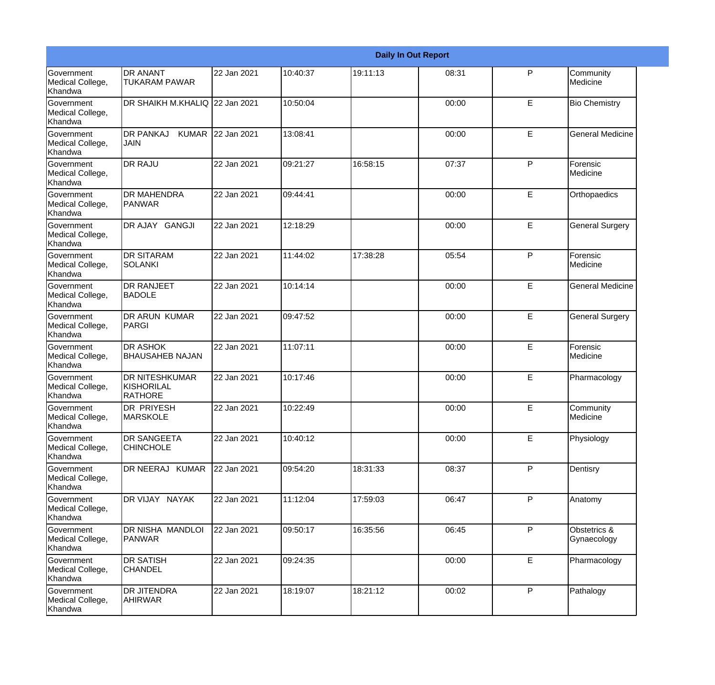|                                                  |                                                       |                   |          |          | <b>Daily In Out Report</b> |              |                             |
|--------------------------------------------------|-------------------------------------------------------|-------------------|----------|----------|----------------------------|--------------|-----------------------------|
| Government<br>Medical College,<br>Khandwa        | <b>DR ANANT</b><br><b>TUKARAM PAWAR</b>               | 22 Jan 2021       | 10:40:37 | 19:11:13 | 08:31                      | P            | Community<br>Medicine       |
| Government<br>Medical College,<br>Khandwa        | DR SHAIKH M.KHALIQ 22 Jan 2021                        |                   | 10:50:04 |          | 00:00                      | E            | <b>Bio Chemistry</b>        |
| <b>Government</b><br>Medical College,<br>Khandwa | <b>DR PANKAJ</b><br><b>JAIN</b>                       | KUMAR 22 Jan 2021 | 13:08:41 |          | 00:00                      | E            | <b>General Medicine</b>     |
| <b>Government</b><br>Medical College,<br>Khandwa | <b>DR RAJU</b>                                        | 22 Jan 2021       | 09:21:27 | 16:58:15 | 07:37                      | P            | Forensic<br>Medicine        |
| <b>Government</b><br>Medical College,<br>Khandwa | <b>DR MAHENDRA</b><br>PANWAR                          | 22 Jan 2021       | 09:44:41 |          | 00:00                      | E            | Orthopaedics                |
| Government<br>Medical College,<br><b>Khandwa</b> | DR AJAY GANGJI                                        | 22 Jan 2021       | 12:18:29 |          | 00:00                      | E            | <b>General Surgery</b>      |
| Government<br>Medical College,<br>Khandwa        | <b>DR SITARAM</b><br>SOLANKI                          | 22 Jan 2021       | 11:44:02 | 17:38:28 | 05:54                      | P            | Forensic<br>Medicine        |
| Government<br>Medical College,<br>Khandwa        | <b>DR RANJEET</b><br><b>BADOLE</b>                    | 22 Jan 2021       | 10:14:14 |          | 00:00                      | E            | <b>General Medicine</b>     |
| Government<br>Medical College,<br>Khandwa        | DR ARUN KUMAR<br>PARGI                                | 22 Jan 2021       | 09:47:52 |          | 00:00                      | E            | <b>General Surgery</b>      |
| <b>Government</b><br>Medical College,<br>Khandwa | <b>DR ASHOK</b><br><b>BHAUSAHEB NAJAN</b>             | 22 Jan 2021       | 11:07:11 |          | 00:00                      | E            | Forensic<br>Medicine        |
| <b>Government</b><br>Medical College,<br>Khandwa | <b>DR NITESHKUMAR</b><br>KISHORILAL<br><b>RATHORE</b> | 22 Jan 2021       | 10:17:46 |          | 00:00                      | E            | Pharmacology                |
| Government<br>Medical College,<br>Khandwa        | DR PRIYESH<br><b>MARSKOLE</b>                         | 22 Jan 2021       | 10:22:49 |          | 00:00                      | E            | Community<br>Medicine       |
| Government<br>Medical College,<br>Khandwa        | DR SANGEETA<br><b>CHINCHOLE</b>                       | 22 Jan 2021       | 10:40:12 |          | 00:00                      | E            | Physiology                  |
| Government<br>Medical College,<br>Khandwa        | DR NEERAJ KUMAR                                       | 22 Jan 2021       | 09:54:20 | 18:31:33 | 08:37                      | P            | Dentisry                    |
| Government<br>Medical College,<br>Khandwa        | DR VIJAY NAYAK                                        | 22 Jan 2021       | 11:12:04 | 17:59:03 | 06:47                      | P            | Anatomy                     |
| Government<br>Medical College,<br>Khandwa        | DR NISHA MANDLOI<br>PANWAR                            | 22 Jan 2021       | 09:50:17 | 16:35:56 | 06:45                      | $\mathsf{P}$ | Obstetrics &<br>Gynaecology |
| Government<br>Medical College,<br>Khandwa        | <b>DR SATISH</b><br><b>CHANDEL</b>                    | 22 Jan 2021       | 09:24:35 |          | 00:00                      | E            | Pharmacology                |
| Government<br>Medical College,<br>Khandwa        | DR JITENDRA<br><b>AHIRWAR</b>                         | 22 Jan 2021       | 18:19:07 | 18:21:12 | 00:02                      | P            | Pathalogy                   |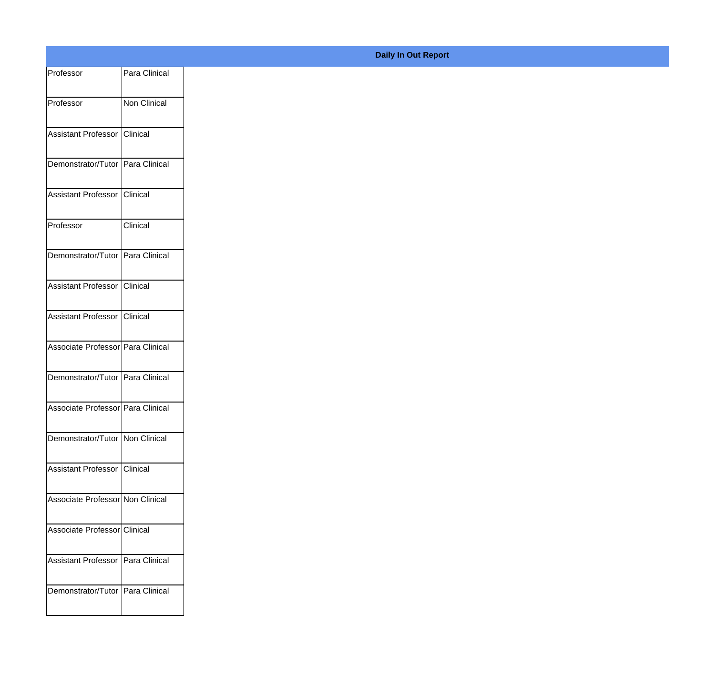| Professor                           | Para Clinical |
|-------------------------------------|---------------|
| Professor                           | Non Clinical  |
| Assistant Professor Clinical        |               |
| Demonstrator/Tutor Para Clinical    |               |
| Assistant Professor Clinical        |               |
| Professor                           | Clinical      |
| Demonstrator/Tutor Para Clinical    |               |
| Assistant Professor Clinical        |               |
| Assistant Professor Clinical        |               |
| Associate Professor Para Clinical   |               |
| Demonstrator/Tutor Para Clinical    |               |
| Associate Professor Para Clinical   |               |
| Demonstrator/Tutor Non Clinical     |               |
| Assistant Professor Clinical        |               |
| Associate Professor Non Clinical    |               |
| Associate Professor Clinical        |               |
| Assistant Professor   Para Clinical |               |
| Demonstrator/Tutor Para Clinical    |               |
|                                     |               |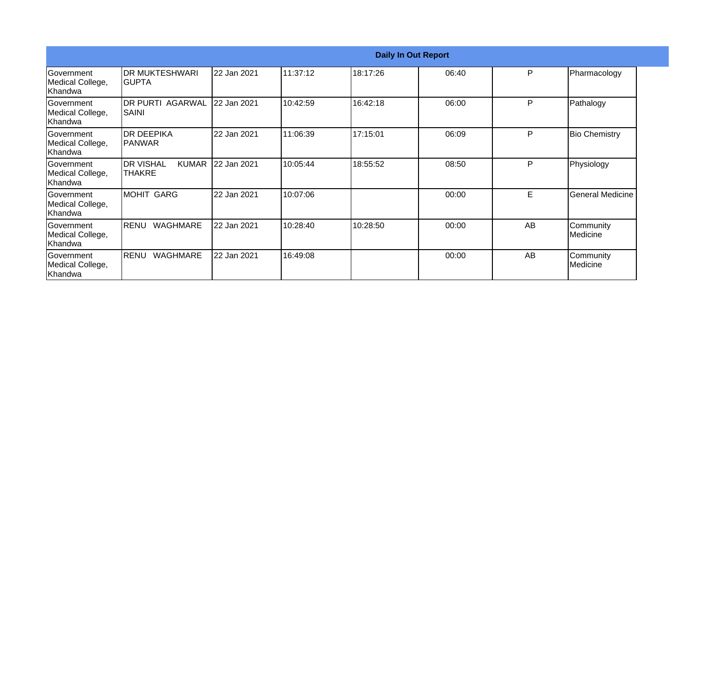|                                                  |                                                   |             |          |          | <b>Daily In Out Report</b> |    |                         |
|--------------------------------------------------|---------------------------------------------------|-------------|----------|----------|----------------------------|----|-------------------------|
| Government<br>Medical College,<br>Khandwa        | IDR MUKTESHWARI<br>IGUPTA                         | 22 Jan 2021 | 11:37:12 | 18:17:26 | 06:40                      | P  | Pharmacology            |
| <b>Sovernment</b><br>Medical College,<br>Khandwa | IDR PURTI AGARWAL<br>SAINI                        | 22 Jan 2021 | 10:42:59 | 16:42:18 | 06:00                      | P  | Pathalogy               |
| Government<br>Medical College,<br>Khandwa        | <b>IDR DEEPIKA</b><br><b>IPANWAR</b>              | 22 Jan 2021 | 11:06:39 | 17:15:01 | 06:09                      | P  | <b>Bio Chemistry</b>    |
| Government<br>Medical College,<br>Khandwa        | <b>DR VISHAL</b><br><b>KUMAR</b><br><b>THAKRE</b> | 22 Jan 2021 | 10:05:44 | 18:55:52 | 08:50                      | P  | Physiology              |
| Government<br>Medical College,<br>Khandwa        | <b>MOHIT GARG</b>                                 | 22 Jan 2021 | 10:07:06 |          | 00:00                      | E  | <b>General Medicine</b> |
| Government<br>Medical College,<br>lKhandwa       | <b>WAGHMARE</b><br><b>RENU</b>                    | 22 Jan 2021 | 10:28:40 | 10:28:50 | 00:00                      | AB | Community<br>lMedicine  |
| Government<br>Medical College,<br>Khandwa        | <b>WAGHMARE</b><br>RENU                           | 22 Jan 2021 | 16:49:08 |          | 00:00                      | AB | Community<br>Medicine   |